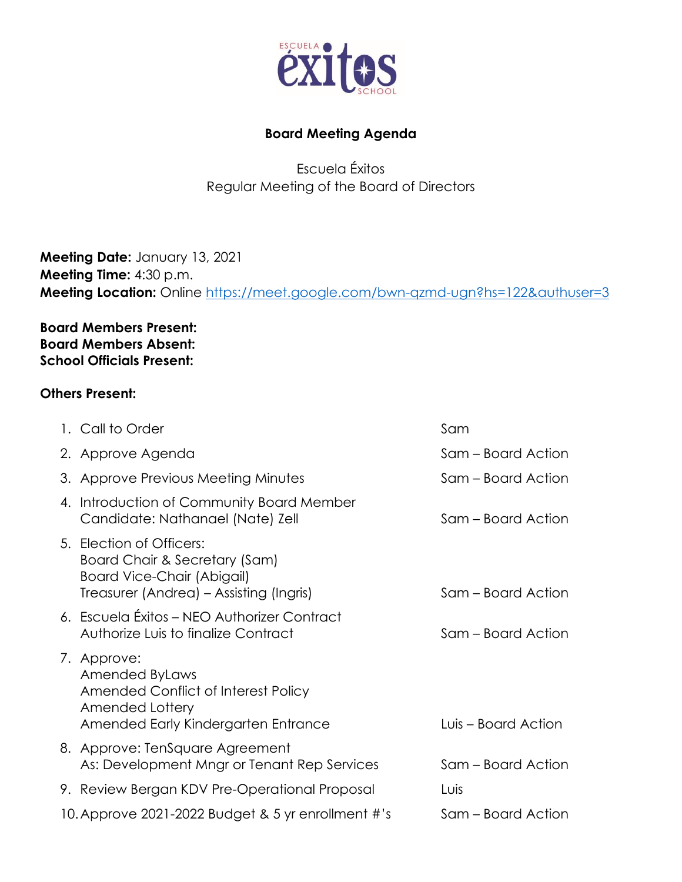

## **Board Meeting Agenda**

Escuela Éxitos Regular Meeting of the Board of Directors

**Meeting Date:** January 13, 2021 **Meeting Time:** 4:30 p.m. **Meeting Location:** Online <https://meet.google.com/bwn-qzmd-ugn?hs=122&authuser=3>

**Board Members Present: Board Members Absent: School Officials Present:**

## **Others Present:**

| 1. Call to Order                                                                                                                          | Sam                 |
|-------------------------------------------------------------------------------------------------------------------------------------------|---------------------|
| 2. Approve Agenda                                                                                                                         | Sam – Board Action  |
| 3. Approve Previous Meeting Minutes                                                                                                       | Sam – Board Action  |
| 4. Introduction of Community Board Member<br>Candidate: Nathanael (Nate) Zell                                                             | Sam – Board Action  |
| 5. Election of Officers:<br>Board Chair & Secretary (Sam)<br><b>Board Vice-Chair (Abigail)</b><br>Treasurer (Andrea) – Assisting (Ingris) | Sam – Board Action  |
| 6. Escuela Éxitos - NEO Authorizer Contract<br>Authorize Luis to finalize Contract                                                        | Sam – Board Action  |
| 7. Approve:<br><b>Amended ByLaws</b><br>Amended Conflict of Interest Policy<br>Amended Lottery<br>Amended Early Kindergarten Entrance     | Luis – Board Action |
| 8. Approve: TenSquare Agreement<br>As: Development Mngr or Tenant Rep Services                                                            | Sam – Board Action  |
| 9. Review Bergan KDV Pre-Operational Proposal                                                                                             | Luis                |
| 10. Approve 2021-2022 Budget & 5 yr enrollment #'s                                                                                        | Sam – Board Action  |